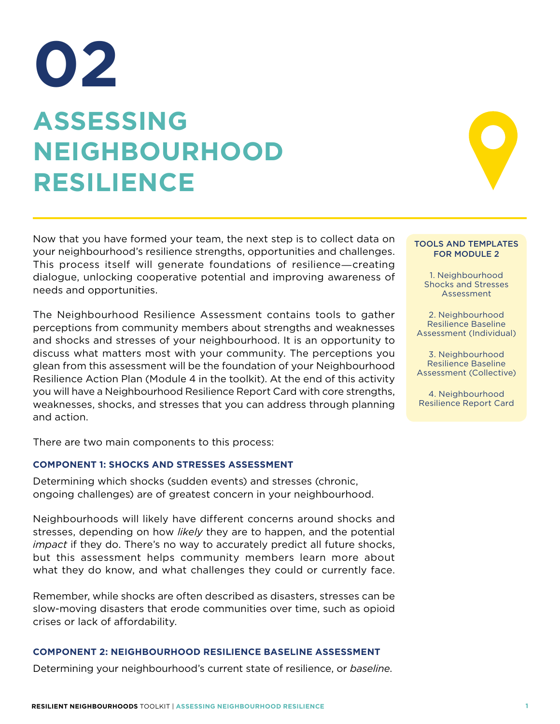# **ASSESSING NEIGHBOURHOOD RESILIENCE 02**

Now that you have formed your team, the next step is to collect data on your neighbourhood's resilience strengths, opportunities and challenges. This process itself will generate foundations of resilience―creating dialogue, unlocking cooperative potential and improving awareness of needs and opportunities.

The Neighbourhood Resilience Assessment contains tools to gather perceptions from community members about strengths and weaknesses and shocks and stresses of your neighbourhood. It is an opportunity to discuss what matters most with your community. The perceptions you glean from this assessment will be the foundation of your Neighbourhood Resilience Action Plan (Module 4 in the toolkit). At the end of this activity you will have a Neighbourhood Resilience Report Card with core strengths, weaknesses, shocks, and stresses that you can address through planning and action.

There are two main components to this process:

#### **COMPONENT 1: SHOCKS AND STRESSES ASSESSMENT**

Determining which shocks (sudden events) and stresses (chronic, ongoing challenges) are of greatest concern in your neighbourhood.

Neighbourhoods will likely have different concerns around shocks and stresses, depending on how *likely* they are to happen, and the potential *impact* if they do. There's no way to accurately predict all future shocks, but this assessment helps community members learn more about what they do know, and what challenges they could or currently face.

Remember, while shocks are often described as disasters, stresses can be slow-moving disasters that erode communities over time, such as opioid crises or lack of affordability.

#### **COMPONENT 2: NEIGHBOURHOOD RESILIENCE BASELINE ASSESSMENT**

Determining your neighbourhood's current state of resilience, or *baseline*.

#### TOOLS AND TEMPLATES FOR MODULE 2

1. Neighbourhood Shocks and Stresses Assessment

2. Neighbourhood Resilience Baseline Assessment (Individual)

3. Neighbourhood Resilience Baseline Assessment (Collective)

4. Neighbourhood Resilience Report Card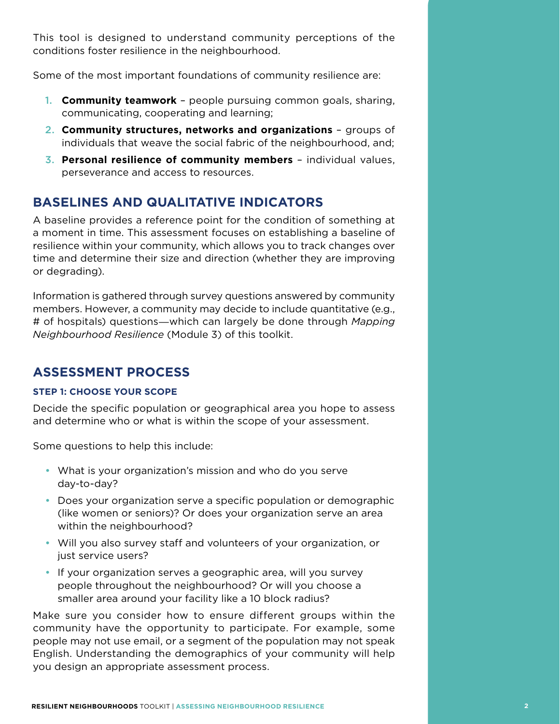This tool is designed to understand community perceptions of the conditions foster resilience in the neighbourhood.

Some of the most important foundations of community resilience are:

- 1. **Community teamwork** people pursuing common goals, sharing, communicating, cooperating and learning;
- 2. **Community structures, networks and organizations**  groups of individuals that weave the social fabric of the neighbourhood, and;
- 3. **Personal resilience of community members** individual values, perseverance and access to resources.

## **BASELINES AND QUALITATIVE INDICATORS**

A baseline provides a reference point for the condition of something at a moment in time. This assessment focuses on establishing a baseline of resilience within your community, which allows you to track changes over time and determine their size and direction (whether they are improving or degrading).

Information is gathered through survey questions answered by community members. However, a community may decide to include quantitative (e.g., # of hospitals) questions―which can largely be done through *Mapping Neighbourhood Resilience* (Module 3) of this toolkit.

## **ASSESSMENT PROCESS**

#### **STEP 1: CHOOSE YOUR SCOPE**

Decide the specific population or geographical area you hope to assess and determine who or what is within the scope of your assessment.

Some questions to help this include:

- What is your organization's mission and who do you serve day-to-day?
- Does your organization serve a specific population or demographic (like women or seniors)? Or does your organization serve an area within the neighbourhood?
- Will you also survey staff and volunteers of your organization, or just service users?
- If your organization serves a geographic area, will you survey people throughout the neighbourhood? Or will you choose a smaller area around your facility like a 10 block radius?

Make sure you consider how to ensure different groups within the community have the opportunity to participate. For example, some people may not use email, or a segment of the population may not speak English. Understanding the demographics of your community will help you design an appropriate assessment process.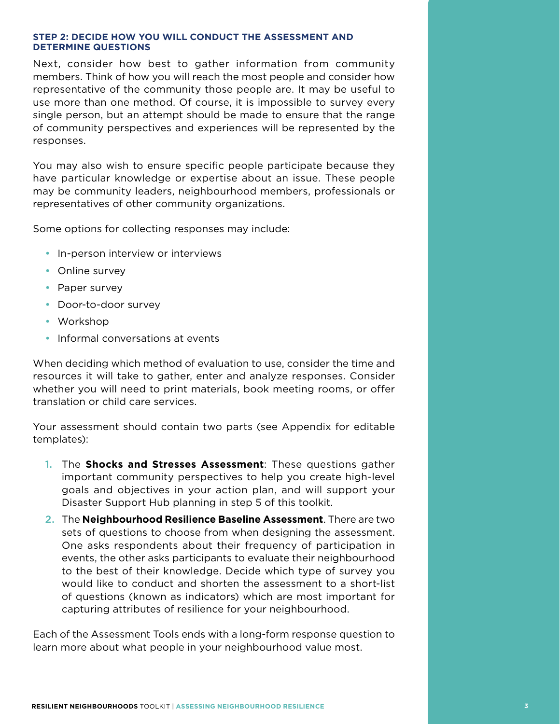#### **STEP 2: DECIDE HOW YOU WILL CONDUCT THE ASSESSMENT AND DETERMINE QUESTIONS**

Next, consider how best to gather information from community members. Think of how you will reach the most people and consider how representative of the community those people are. It may be useful to use more than one method. Of course, it is impossible to survey every single person, but an attempt should be made to ensure that the range of community perspectives and experiences will be represented by the responses.

You may also wish to ensure specific people participate because they have particular knowledge or expertise about an issue. These people may be community leaders, neighbourhood members, professionals or representatives of other community organizations.

Some options for collecting responses may include:

- In-person interview or interviews
- Online survey
- Paper survey
- Door-to-door survey
- Workshop
- Informal conversations at events

When deciding which method of evaluation to use, consider the time and resources it will take to gather, enter and analyze responses. Consider whether you will need to print materials, book meeting rooms, or offer translation or child care services.

Your assessment should contain two parts (see Appendix for editable templates):

- 1. The **Shocks and Stresses Assessment**: These questions gather important community perspectives to help you create high-level goals and objectives in your action plan, and will support your Disaster Support Hub planning in step 5 of this toolkit.
- 2. The **Neighbourhood Resilience Baseline Assessment**. There are two sets of questions to choose from when designing the assessment. One asks respondents about their frequency of participation in events, the other asks participants to evaluate their neighbourhood to the best of their knowledge. Decide which type of survey you would like to conduct and shorten the assessment to a short-list of questions (known as indicators) which are most important for capturing attributes of resilience for your neighbourhood.

Each of the Assessment Tools ends with a long-form response question to learn more about what people in your neighbourhood value most.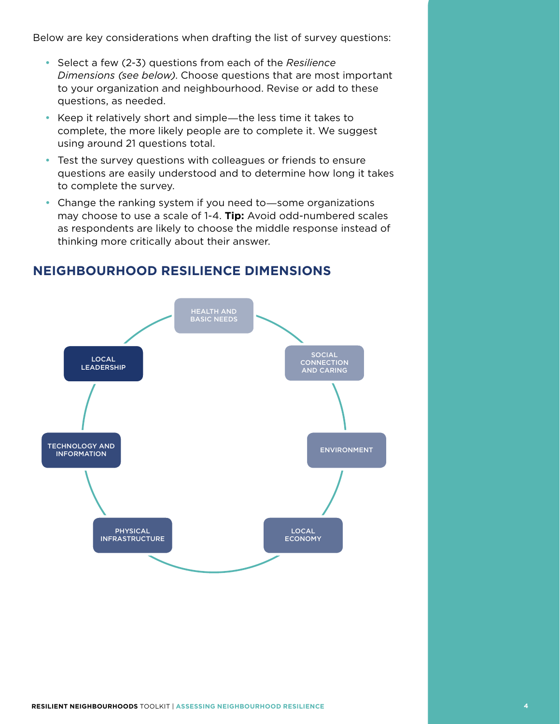Below are key considerations when drafting the list of survey questions:

- Select a few (2-3) questions from each of the *Resilience Dimensions (see below)*. Choose questions that are most important to your organization and neighbourhood. Revise or add to these questions, as needed.
- Keep it relatively short and simple―the less time it takes to complete, the more likely people are to complete it. We suggest using around 21 questions total.
- Test the survey questions with colleagues or friends to ensure questions are easily understood and to determine how long it takes to complete the survey.
- Change the ranking system if you need to—some organizations may choose to use a scale of 1-4. **Tip:** Avoid odd-numbered scales as respondents are likely to choose the middle response instead of thinking more critically about their answer.



### **NEIGHBOURHOOD RESILIENCE DIMENSIONS**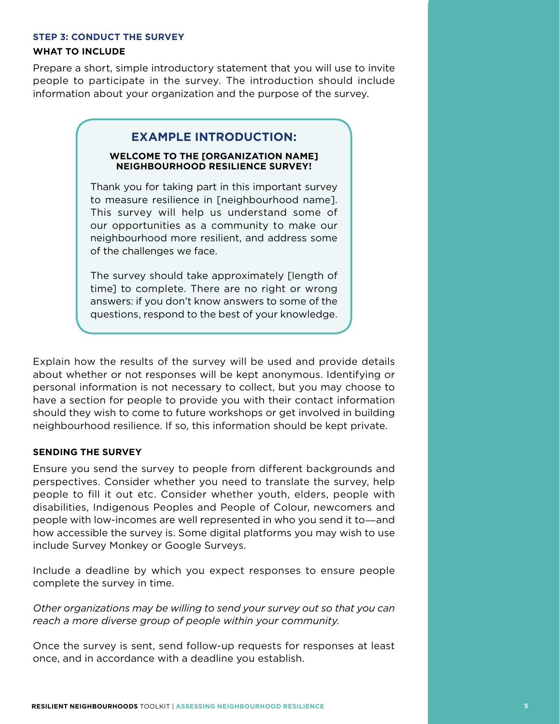#### **STEP 3: CONDUCT THE SURVEY**

#### **WHAT TO INCLUDE**

Prepare a short, simple introductory statement that you will use to invite people to participate in the survey. The introduction should include information about your organization and the purpose of the survey.

#### **EXAMPLE INTRODUCTION:**

#### **WELCOME TO THE [ORGANIZATION NAME] NEIGHBOURHOOD RESILIENCE SURVEY!**

Thank you for taking part in this important survey to measure resilience in [neighbourhood name]. This survey will help us understand some of our opportunities as a community to make our neighbourhood more resilient, and address some of the challenges we face.

The survey should take approximately [length of time] to complete. There are no right or wrong answers: if you don't know answers to some of the questions, respond to the best of your knowledge.

Explain how the results of the survey will be used and provide details about whether or not responses will be kept anonymous. Identifying or personal information is not necessary to collect, but you may choose to have a section for people to provide you with their contact information should they wish to come to future workshops or get involved in building neighbourhood resilience. If so, this information should be kept private.

#### **SENDING THE SURVEY**

Ensure you send the survey to people from different backgrounds and perspectives. Consider whether you need to translate the survey, help people to fill it out etc. Consider whether youth, elders, people with disabilities, Indigenous Peoples and People of Colour, newcomers and people with low-incomes are well represented in who you send it to―and how accessible the survey is. Some digital platforms you may wish to use include Survey Monkey or Google Surveys.

Include a deadline by which you expect responses to ensure people complete the survey in time.

*Other organizations may be willing to send your survey out so that you can reach a more diverse group of people within your community.*

Once the survey is sent, send follow-up requests for responses at least once, and in accordance with a deadline you establish.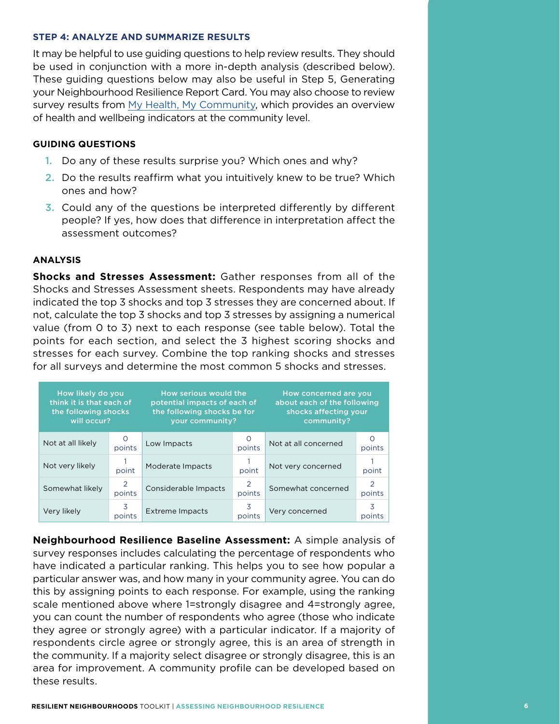#### **STEP 4: ANALYZE AND SUMMARIZE RESULTS**

It may be helpful to use guiding questions to help review results. They should be used in conjunction with a more in-depth analysis (described below). These guiding questions below may also be useful in Step 5, Generating your Neighbourhood Resilience Report Card. You may also choose to review survey results from My Health, My Community, which provides an overview of health and wellbeing indicators at the community level.

#### **GUIDING QUESTIONS**

- 1. Do any of these results surprise you? Which ones and why?
- 2. Do the results reaffirm what you intuitively knew to be true? Which ones and how?
- 3. Could any of the questions be interpreted differently by different people? If yes, how does that difference in interpretation affect the assessment outcomes?

#### **ANALYSIS**

**Shocks and Stresses Assessment:** Gather responses from all of the Shocks and Stresses Assessment sheets. Respondents may have already indicated the top 3 shocks and top 3 stresses they are concerned about. If not, calculate the top 3 shocks and top 3 stresses by assigning a numerical value (from 0 to 3) next to each response (see table below). Total the points for each section, and select the 3 highest scoring shocks and stresses for each survey. Combine the top ranking shocks and stresses for all surveys and determine the most common 5 shocks and stresses.

| How likely do you<br>think it is that each of<br>the following shocks<br>will occur? |                    | How serious would the<br>potential impacts of each of<br>the following shocks be for<br>your community? |                          | How concerned are you<br>about each of the following<br>shocks affecting your<br>community? |             |
|--------------------------------------------------------------------------------------|--------------------|---------------------------------------------------------------------------------------------------------|--------------------------|---------------------------------------------------------------------------------------------|-------------|
| Not at all likely                                                                    | $\Omega$<br>points | Low Impacts                                                                                             | points                   | Not at all concerned                                                                        | points      |
| Not very likely                                                                      | point              | Moderate Impacts                                                                                        | point                    | Not very concerned                                                                          | point       |
| Somewhat likely                                                                      | 2<br>points        | Considerable Impacts                                                                                    | $\overline{2}$<br>points | Somewhat concerned                                                                          | 2<br>points |
| Very likely                                                                          | 3<br>points        | Extreme Impacts                                                                                         | 3<br>points              | Very concerned                                                                              | 3<br>points |

**Neighbourhood Resilience Baseline Assessment:** A simple analysis of survey responses includes calculating the percentage of respondents who have indicated a particular ranking. This helps you to see how popular a particular answer was, and how many in your community agree. You can do this by assigning points to each response. For example, using the ranking scale mentioned above where 1=strongly disagree and 4=strongly agree, you can count the number of respondents who agree (those who indicate they agree or strongly agree) with a particular indicator. If a majority of respondents circle agree or strongly agree, this is an area of strength in the community. If a majority select disagree or strongly disagree, this is an area for improvement. A community profile can be developed based on these results.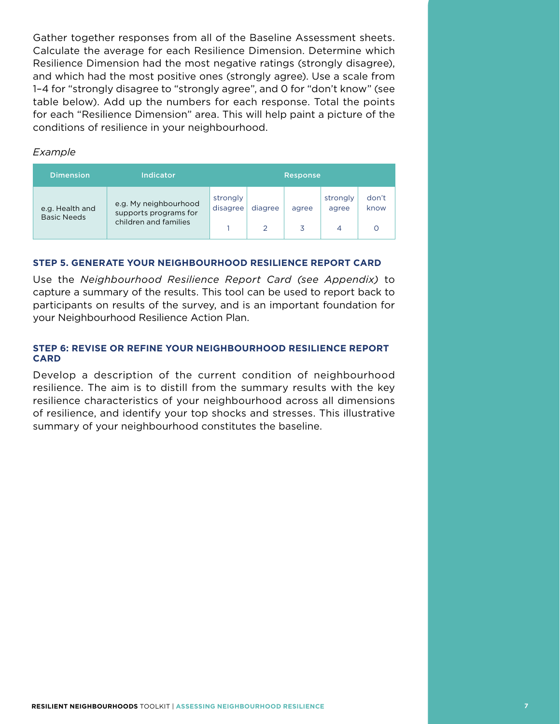Gather together responses from all of the Baseline Assessment sheets. Calculate the average for each Resilience Dimension. Determine which Resilience Dimension had the most negative ratings (strongly disagree), and which had the most positive ones (strongly agree). Use a scale from 1–4 for "strongly disagree to "strongly agree", and 0 for "don't know" (see table below). Add up the numbers for each response. Total the points for each "Resilience Dimension" area. This will help paint a picture of the conditions of resilience in your neighbourhood.

#### *Example*

| <b>Dimension</b>                      | Indicator                                                               |                      |         | Response   |                        |               |
|---------------------------------------|-------------------------------------------------------------------------|----------------------|---------|------------|------------------------|---------------|
| e.g. Health and<br><b>Basic Needs</b> | e.g. My neighbourhood<br>supports programs for<br>children and families | strongly<br>disagree | diagree | agree<br>3 | strongly<br>agree<br>4 | don't<br>know |

#### **STEP 5. GENERATE YOUR NEIGHBOURHOOD RESILIENCE REPORT CARD**

Use the *Neighbourhood Resilience Report Card (see Appendix)* to capture a summary of the results. This tool can be used to report back to participants on results of the survey, and is an important foundation for your Neighbourhood Resilience Action Plan.

#### **STEP 6: REVISE OR REFINE YOUR NEIGHBOURHOOD RESILIENCE REPORT CARD**

Develop a description of the current condition of neighbourhood resilience. The aim is to distill from the summary results with the key resilience characteristics of your neighbourhood across all dimensions of resilience, and identify your top shocks and stresses. This illustrative summary of your neighbourhood constitutes the baseline.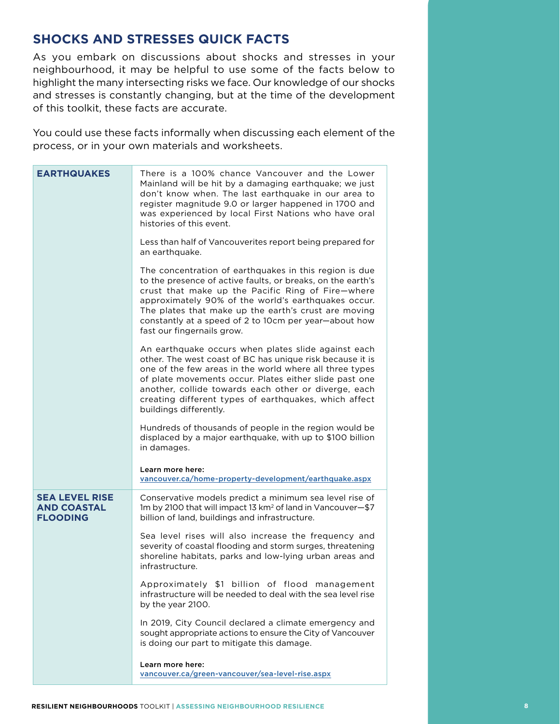## **SHOCKS AND STRESSES QUICK FACTS**

As you embark on discussions about shocks and stresses in your neighbourhood, it may be helpful to use some of the facts below to highlight the many intersecting risks we face. Our knowledge of our shocks and stresses is constantly changing, but at the time of the development of this toolkit, these facts are accurate.

You could use these facts informally when discussing each element of the process, or in your own materials and worksheets.

| <b>EARTHQUAKES</b>                                             | There is a 100% chance Vancouver and the Lower<br>Mainland will be hit by a damaging earthquake; we just<br>don't know when. The last earthquake in our area to<br>register magnitude 9.0 or larger happened in 1700 and<br>was experienced by local First Nations who have oral<br>histories of this event.                                                                     |  |
|----------------------------------------------------------------|----------------------------------------------------------------------------------------------------------------------------------------------------------------------------------------------------------------------------------------------------------------------------------------------------------------------------------------------------------------------------------|--|
|                                                                | Less than half of Vancouverites report being prepared for<br>an earthquake.                                                                                                                                                                                                                                                                                                      |  |
|                                                                | The concentration of earthquakes in this region is due<br>to the presence of active faults, or breaks, on the earth's<br>crust that make up the Pacific Ring of Fire-where<br>approximately 90% of the world's earthquakes occur.<br>The plates that make up the earth's crust are moving<br>constantly at a speed of 2 to 10cm per year-about how<br>fast our fingernails grow. |  |
|                                                                | An earthquake occurs when plates slide against each<br>other. The west coast of BC has unique risk because it is<br>one of the few areas in the world where all three types<br>of plate movements occur. Plates either slide past one<br>another, collide towards each other or diverge, each<br>creating different types of earthquakes, which affect<br>buildings differently. |  |
|                                                                | Hundreds of thousands of people in the region would be<br>displaced by a major earthquake, with up to \$100 billion<br>in damages.                                                                                                                                                                                                                                               |  |
|                                                                | Learn more here:<br>vancouver.ca/home-property-development/earthquake.aspx                                                                                                                                                                                                                                                                                                       |  |
| <b>SEA LEVEL RISE</b><br><b>AND COASTAL</b><br><b>FLOODING</b> | Conservative models predict a minimum sea level rise of<br>1m by 2100 that will impact 13 km <sup>2</sup> of land in Vancouver-\$7<br>billion of land, buildings and infrastructure.                                                                                                                                                                                             |  |
|                                                                | Sea level rises will also increase the frequency and<br>severity of coastal flooding and storm surges, threatening<br>shoreline habitats, parks and low-lying urban areas and<br>infrastructure.                                                                                                                                                                                 |  |
|                                                                | Approximately \$1 billion of flood management<br>infrastructure will be needed to deal with the sea level rise<br>by the year 2100.                                                                                                                                                                                                                                              |  |
|                                                                | In 2019, City Council declared a climate emergency and<br>sought appropriate actions to ensure the City of Vancouver<br>is doing our part to mitigate this damage.                                                                                                                                                                                                               |  |
|                                                                | Learn more here:<br>vancouver.ca/green-vancouver/sea-level-rise.aspx                                                                                                                                                                                                                                                                                                             |  |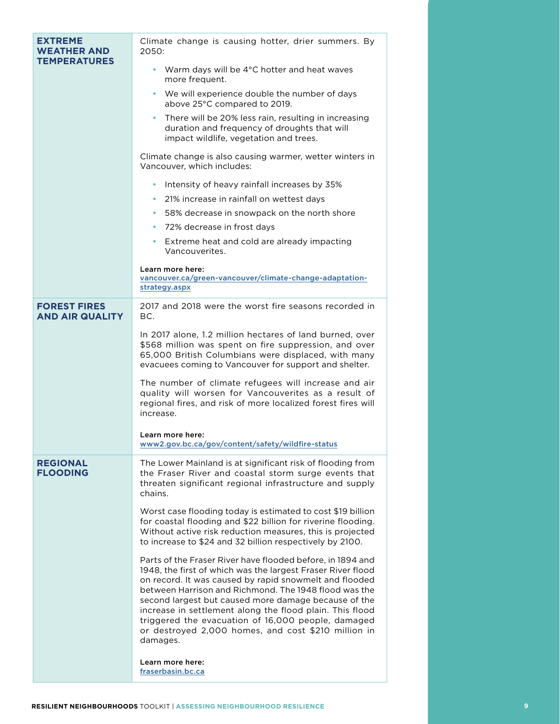| <b>EXTREME</b><br><b>WEATHER AND</b>          | Climate change is causing hotter, drier summers. By<br>2050:                                                                                                                                                                                                                                                                                                                                                                                                                              |  |
|-----------------------------------------------|-------------------------------------------------------------------------------------------------------------------------------------------------------------------------------------------------------------------------------------------------------------------------------------------------------------------------------------------------------------------------------------------------------------------------------------------------------------------------------------------|--|
| <b>TEMPERATURES</b>                           | • Warm days will be 4°C hotter and heat waves<br>more frequent.                                                                                                                                                                                                                                                                                                                                                                                                                           |  |
|                                               | • We will experience double the number of days<br>above 25°C compared to 2019.                                                                                                                                                                                                                                                                                                                                                                                                            |  |
|                                               | There will be 20% less rain, resulting in increasing<br>duration and frequency of droughts that will<br>impact wildlife, vegetation and trees.                                                                                                                                                                                                                                                                                                                                            |  |
|                                               | Climate change is also causing warmer, wetter winters in<br>Vancouver, which includes:                                                                                                                                                                                                                                                                                                                                                                                                    |  |
|                                               | Intensity of heavy rainfall increases by 35%                                                                                                                                                                                                                                                                                                                                                                                                                                              |  |
|                                               | 21% increase in rainfall on wettest days<br>$\bullet$                                                                                                                                                                                                                                                                                                                                                                                                                                     |  |
|                                               | 58% decrease in snowpack on the north shore<br>$\bullet$                                                                                                                                                                                                                                                                                                                                                                                                                                  |  |
|                                               | • 72% decrease in frost days                                                                                                                                                                                                                                                                                                                                                                                                                                                              |  |
|                                               | • Extreme heat and cold are already impacting<br>Vancouverites.                                                                                                                                                                                                                                                                                                                                                                                                                           |  |
|                                               | Learn more here:                                                                                                                                                                                                                                                                                                                                                                                                                                                                          |  |
|                                               | vancouver.ca/green-vancouver/climate-change-adaptation-<br>strategy.aspx                                                                                                                                                                                                                                                                                                                                                                                                                  |  |
|                                               |                                                                                                                                                                                                                                                                                                                                                                                                                                                                                           |  |
| <b>FOREST FIRES</b><br><b>AND AIR QUALITY</b> | 2017 and 2018 were the worst fire seasons recorded in<br>BC.                                                                                                                                                                                                                                                                                                                                                                                                                              |  |
|                                               | In 2017 alone, 1.2 million hectares of land burned, over<br>\$568 million was spent on fire suppression, and over<br>65,000 British Columbians were displaced, with many<br>evacuees coming to Vancouver for support and shelter.                                                                                                                                                                                                                                                         |  |
|                                               | The number of climate refugees will increase and air<br>quality will worsen for Vancouverites as a result of<br>regional fires, and risk of more localized forest fires will<br>increase.                                                                                                                                                                                                                                                                                                 |  |
|                                               | Learn more here:<br>www2.gov.bc.ca/gov/content/safety/wildfire-status                                                                                                                                                                                                                                                                                                                                                                                                                     |  |
| <b>REGIONAL</b><br><b>FLOODING</b>            | The Lower Mainland is at significant risk of flooding from<br>the Fraser River and coastal storm surge events that<br>threaten significant regional infrastructure and supply<br>chains.                                                                                                                                                                                                                                                                                                  |  |
|                                               | Worst case flooding today is estimated to cost \$19 billion<br>for coastal flooding and \$22 billion for riverine flooding.<br>Without active risk reduction measures, this is projected<br>to increase to \$24 and 32 billion respectively by 2100.                                                                                                                                                                                                                                      |  |
|                                               | Parts of the Fraser River have flooded before, in 1894 and<br>1948, the first of which was the largest Fraser River flood<br>on record. It was caused by rapid snowmelt and flooded<br>between Harrison and Richmond. The 1948 flood was the<br>second largest but caused more damage because of the<br>increase in settlement along the flood plain. This flood<br>triggered the evacuation of 16,000 people, damaged<br>or destroyed 2,000 homes, and cost \$210 million in<br>damages. |  |
|                                               | Learn more here:<br>fraserbasin.bc.ca                                                                                                                                                                                                                                                                                                                                                                                                                                                     |  |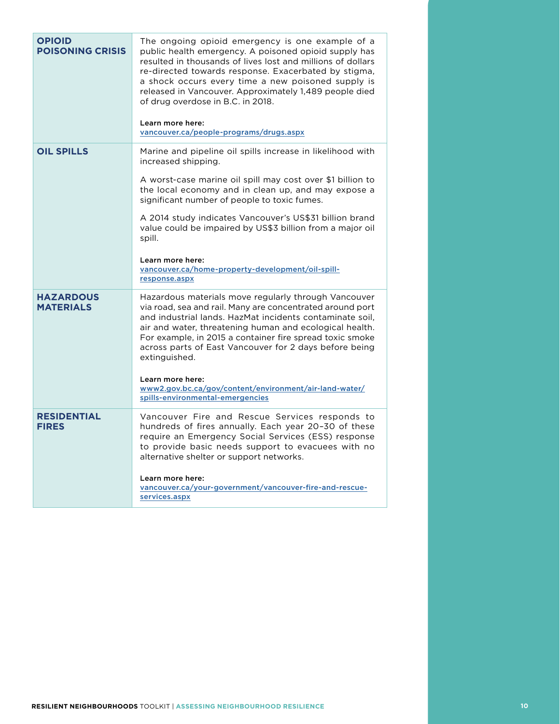| <b>OPIOID</b><br><b>POISONING CRISIS</b> | The ongoing opioid emergency is one example of a<br>public health emergency. A poisoned opioid supply has<br>resulted in thousands of lives lost and millions of dollars<br>re-directed towards response. Exacerbated by stigma,<br>a shock occurs every time a new poisoned supply is<br>released in Vancouver. Approximately 1,489 people died<br>of drug overdose in B.C. in 2018.<br>Learn more here:<br>vancouver.ca/people-programs/drugs.aspx |
|------------------------------------------|------------------------------------------------------------------------------------------------------------------------------------------------------------------------------------------------------------------------------------------------------------------------------------------------------------------------------------------------------------------------------------------------------------------------------------------------------|
| <b>OIL SPILLS</b>                        | Marine and pipeline oil spills increase in likelihood with<br>increased shipping.<br>A worst-case marine oil spill may cost over \$1 billion to                                                                                                                                                                                                                                                                                                      |
|                                          | the local economy and in clean up, and may expose a<br>significant number of people to toxic fumes.                                                                                                                                                                                                                                                                                                                                                  |
|                                          | A 2014 study indicates Vancouver's US\$31 billion brand<br>value could be impaired by US\$3 billion from a major oil<br>spill.                                                                                                                                                                                                                                                                                                                       |
|                                          | Learn more here:<br>vancouver.ca/home-property-development/oil-spill-<br>response.aspx                                                                                                                                                                                                                                                                                                                                                               |
| <b>HAZARDOUS</b><br><b>MATERIALS</b>     | Hazardous materials move regularly through Vancouver<br>via road, sea and rail. Many are concentrated around port<br>and industrial lands. HazMat incidents contaminate soil,<br>air and water, threatening human and ecological health.<br>For example, in 2015 a container fire spread toxic smoke<br>across parts of East Vancouver for 2 days before being<br>extinguished.                                                                      |
|                                          | Learn more here:<br>www2.gov.bc.ca/gov/content/environment/air-land-water/<br>spills-environmental-emergencies                                                                                                                                                                                                                                                                                                                                       |
| <b>RESIDENTIAL</b><br><b>FIRES</b>       | Vancouver Fire and Rescue Services responds to<br>hundreds of fires annually. Each year 20-30 of these<br>require an Emergency Social Services (ESS) response<br>to provide basic needs support to evacuees with no<br>alternative shelter or support networks.                                                                                                                                                                                      |
|                                          | Learn more here:<br>vancouver.ca/your-government/vancouver-fire-and-rescue-<br>services.aspx                                                                                                                                                                                                                                                                                                                                                         |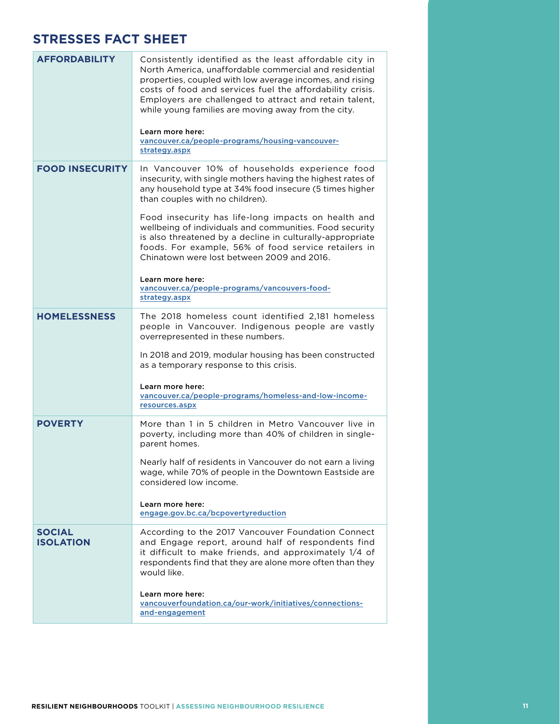## **STRESSES FACT SHEET**

| <b>AFFORDABILITY</b>              | Consistently identified as the least affordable city in<br>North America, unaffordable commercial and residential<br>properties, coupled with low average incomes, and rising<br>costs of food and services fuel the affordability crisis.<br>Employers are challenged to attract and retain talent,<br>while young families are moving away from the city.<br>Learn more here:<br>vancouver.ca/people-programs/housing-vancouver-<br>strategy.aspx |
|-----------------------------------|-----------------------------------------------------------------------------------------------------------------------------------------------------------------------------------------------------------------------------------------------------------------------------------------------------------------------------------------------------------------------------------------------------------------------------------------------------|
| <b>FOOD INSECURITY</b>            | In Vancouver 10% of households experience food<br>insecurity, with single mothers having the highest rates of<br>any household type at 34% food insecure (5 times higher<br>than couples with no children).                                                                                                                                                                                                                                         |
|                                   | Food insecurity has life-long impacts on health and<br>wellbeing of individuals and communities. Food security<br>is also threatened by a decline in culturally-appropriate<br>foods. For example, 56% of food service retailers in<br>Chinatown were lost between 2009 and 2016.                                                                                                                                                                   |
|                                   | Learn more here:<br>vancouver.ca/people-programs/vancouvers-food-<br>strategy.aspx                                                                                                                                                                                                                                                                                                                                                                  |
| <b>HOMELESSNESS</b>               | The 2018 homeless count identified 2,181 homeless<br>people in Vancouver. Indigenous people are vastly<br>overrepresented in these numbers.                                                                                                                                                                                                                                                                                                         |
|                                   | In 2018 and 2019, modular housing has been constructed<br>as a temporary response to this crisis.                                                                                                                                                                                                                                                                                                                                                   |
|                                   | Learn more here:<br>vancouver.ca/people-programs/homeless-and-low-income-<br>resources.aspx                                                                                                                                                                                                                                                                                                                                                         |
| <b>POVERTY</b>                    | More than 1 in 5 children in Metro Vancouver live in<br>poverty, including more than 40% of children in single-<br>parent homes.                                                                                                                                                                                                                                                                                                                    |
|                                   | Nearly half of residents in Vancouver do not earn a living<br>wage, while 70% of people in the Downtown Eastside are<br>considered low income.                                                                                                                                                                                                                                                                                                      |
|                                   | Learn more here:<br>engage.gov.bc.ca/bcpovertyreduction                                                                                                                                                                                                                                                                                                                                                                                             |
| <b>SOCIAL</b><br><b>ISOLATION</b> | According to the 2017 Vancouver Foundation Connect<br>and Engage report, around half of respondents find<br>it difficult to make friends, and approximately 1/4 of<br>respondents find that they are alone more often than they<br>would like.                                                                                                                                                                                                      |
|                                   | Learn more here:<br>vancouverfoundation.ca/our-work/initiatives/connections-<br>and-engagement                                                                                                                                                                                                                                                                                                                                                      |